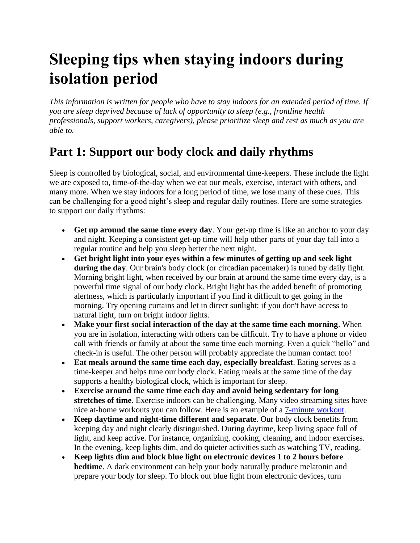## **Sleeping tips when staying indoors during isolation period**

*This information is written for people who have to stay indoors for an extended period of time. If you are sleep deprived because of lack of opportunity to sleep (e.g., frontline health professionals, support workers, caregivers), please prioritize sleep and rest as much as you are able to.*

## **Part 1: Support our body clock and daily rhythms**

Sleep is controlled by biological, social, and environmental time-keepers. These include the light we are exposed to, time-of-the-day when we eat our meals, exercise, interact with others, and many more. When we stay indoors for a long period of time, we lose many of these cues. This can be challenging for a good night's sleep and regular daily routines. Here are some strategies to support our daily rhythms:

- **Get up around the same time every day**. Your get-up time is like an anchor to your day and night. Keeping a consistent get-up time will help other parts of your day fall into a regular routine and help you sleep better the next night.
- **Get bright light into your eyes within a few minutes of getting up and seek light during the day**. Our brain's body clock (or circadian pacemaker) is tuned by daily light. Morning bright light, when received by our brain at around the same time every day, is a powerful time signal of our body clock. Bright light has the added benefit of promoting alertness, which is particularly important if you find it difficult to get going in the morning. Try opening curtains and let in direct sunlight; if you don't have access to natural light, turn on bright indoor lights.
- **Make your first social interaction of the day at the same time each morning**. When you are in isolation, interacting with others can be difficult. Try to have a phone or video call with friends or family at about the same time each morning. Even a quick "hello" and check-in is useful. The other person will probably appreciate the human contact too!
- **Eat meals around the same time each day, especially breakfast**. Eating serves as a time-keeper and helps tune our body clock. Eating meals at the same time of the day supports a healthy biological clock, which is important for sleep.
- **Exercise around the same time each day and avoid being sedentary for long stretches of time**. Exercise indoors can be challenging. Many video streaming sites have nice at-home workouts you can follow. Here is an example of a [7-minute workout.](https://www.webmd.com/fitness-exercise/ss/the-7-minute-workout-slideshow)
- **Keep daytime and night-time different and separate**. Our body clock benefits from keeping day and night clearly distinguished. During daytime, keep living space full of light, and keep active. For instance, organizing, cooking, cleaning, and indoor exercises. In the evening, keep lights dim, and do quieter activities such as watching TV, reading.
- **Keep lights dim and block blue light on electronic devices 1 to 2 hours before bedtime**. A dark environment can help your body naturally produce melatonin and prepare your body for sleep. To block out blue light from electronic devices, turn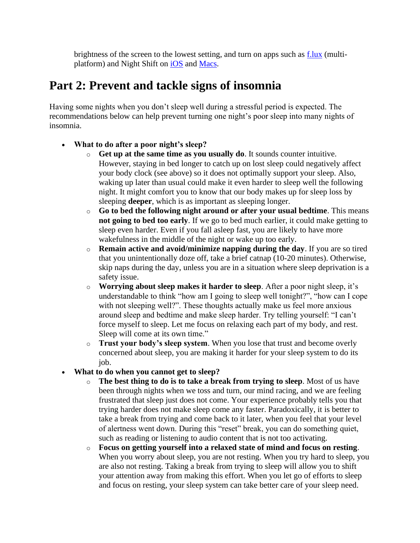brightness of the screen to the lowest setting, and turn on apps such as  $\frac{f. lux}{L!}$  (multiplatform) and Night Shift on [iOS](https://support.apple.com/en-au/HT207570) and [Macs.](https://support.apple.com/en-au/HT207513)

## **Part 2: Prevent and tackle signs of insomnia**

Having some nights when you don't sleep well during a stressful period is expected. The recommendations below can help prevent turning one night's poor sleep into many nights of insomnia.

- **What to do after a poor night's sleep?**
	- o **Get up at the same time as you usually do**. It sounds counter intuitive. However, staying in bed longer to catch up on lost sleep could negatively affect your body clock (see above) so it does not optimally support your sleep. Also, waking up later than usual could make it even harder to sleep well the following night. It might comfort you to know that our body makes up for sleep loss by sleeping **deeper**, which is as important as sleeping longer.
	- o **Go to bed the following night around or after your usual bedtime**. This means **not going to bed too early**. If we go to bed much earlier, it could make getting to sleep even harder. Even if you fall asleep fast, you are likely to have more wakefulness in the middle of the night or wake up too early.
	- o **Remain active and avoid/minimize napping during the day**. If you are so tired that you unintentionally doze off, take a brief catnap (10-20 minutes). Otherwise, skip naps during the day, unless you are in a situation where sleep deprivation is a safety issue.
	- o **Worrying about sleep makes it harder to sleep**. After a poor night sleep, it's understandable to think "how am I going to sleep well tonight?", "how can I cope with not sleeping well?". These thoughts actually make us feel more anxious around sleep and bedtime and make sleep harder. Try telling yourself: "I can't force myself to sleep. Let me focus on relaxing each part of my body, and rest. Sleep will come at its own time."
	- o **Trust your body's sleep system**. When you lose that trust and become overly concerned about sleep, you are making it harder for your sleep system to do its job.
- **What to do when you cannot get to sleep?**
	- o **The best thing to do is to take a break from trying to sleep**. Most of us have been through nights when we toss and turn, our mind racing, and we are feeling frustrated that sleep just does not come. Your experience probably tells you that trying harder does not make sleep come any faster. Paradoxically, it is better to take a break from trying and come back to it later, when you feel that your level of alertness went down. During this "reset" break, you can do something quiet, such as reading or listening to audio content that is not too activating.
	- o **Focus on getting yourself into a relaxed state of mind and focus on resting**. When you worry about sleep, you are not resting. When you try hard to sleep, you are also not resting. Taking a break from trying to sleep will allow you to shift your attention away from making this effort. When you let go of efforts to sleep and focus on resting, your sleep system can take better care of your sleep need.